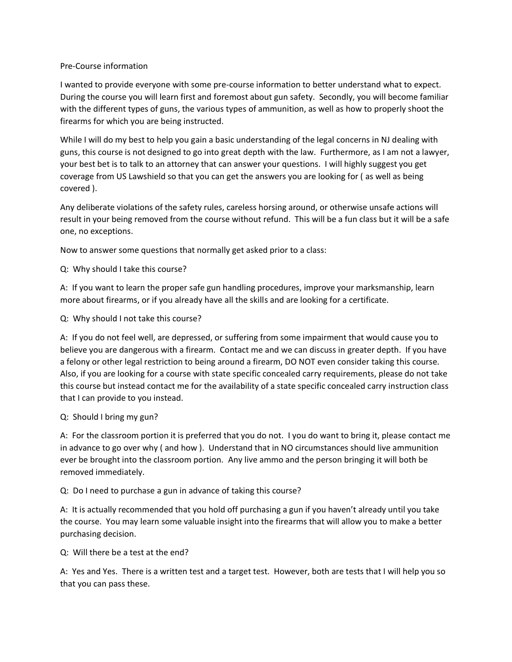### Pre-Course information

I wanted to provide everyone with some pre-course information to better understand what to expect. During the course you will learn first and foremost about gun safety. Secondly, you will become familiar with the different types of guns, the various types of ammunition, as well as how to properly shoot the firearms for which you are being instructed.

While I will do my best to help you gain a basic understanding of the legal concerns in NJ dealing with guns, this course is not designed to go into great depth with the law. Furthermore, as I am not a lawyer, your best bet is to talk to an attorney that can answer your questions. I will highly suggest you get coverage from US Lawshield so that you can get the answers you are looking for ( as well as being covered ).

Any deliberate violations of the safety rules, careless horsing around, or otherwise unsafe actions will result in your being removed from the course without refund. This will be a fun class but it will be a safe one, no exceptions.

Now to answer some questions that normally get asked prior to a class:

Q: Why should I take this course?

A: If you want to learn the proper safe gun handling procedures, improve your marksmanship, learn more about firearms, or if you already have all the skills and are looking for a certificate.

Q: Why should I not take this course?

A: If you do not feel well, are depressed, or suffering from some impairment that would cause you to believe you are dangerous with a firearm. Contact me and we can discuss in greater depth. If you have a felony or other legal restriction to being around a firearm, DO NOT even consider taking this course. Also, if you are looking for a course with state specific concealed carry requirements, please do not take this course but instead contact me for the availability of a state specific concealed carry instruction class that I can provide to you instead.

### Q: Should I bring my gun?

A: For the classroom portion it is preferred that you do not. I you do want to bring it, please contact me in advance to go over why ( and how ). Understand that in NO circumstances should live ammunition ever be brought into the classroom portion. Any live ammo and the person bringing it will both be removed immediately.

Q: Do I need to purchase a gun in advance of taking this course?

A: It is actually recommended that you hold off purchasing a gun if you haven't already until you take the course. You may learn some valuable insight into the firearms that will allow you to make a better purchasing decision.

Q: Will there be a test at the end?

A: Yes and Yes. There is a written test and a target test. However, both are tests that I will help you so that you can pass these.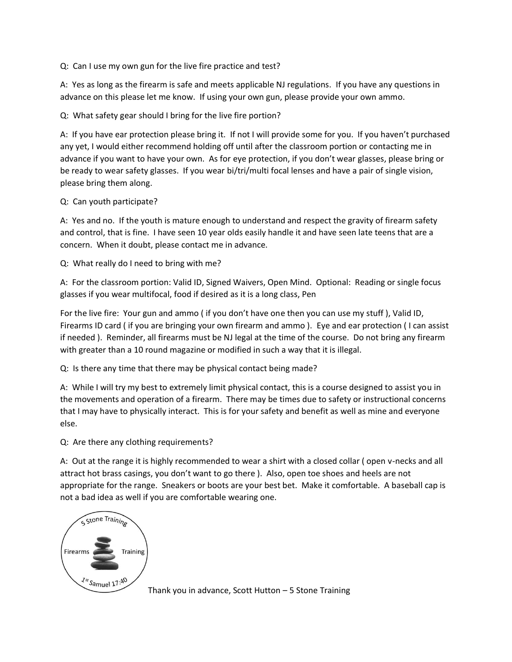Q: Can I use my own gun for the live fire practice and test?

A: Yes as long as the firearm is safe and meets applicable NJ regulations. If you have any questions in advance on this please let me know. If using your own gun, please provide your own ammo.

Q: What safety gear should I bring for the live fire portion?

A: If you have ear protection please bring it. If not I will provide some for you. If you haven't purchased any yet, I would either recommend holding off until after the classroom portion or contacting me in advance if you want to have your own. As for eye protection, if you don't wear glasses, please bring or be ready to wear safety glasses. If you wear bi/tri/multi focal lenses and have a pair of single vision, please bring them along.

## Q: Can youth participate?

A: Yes and no. If the youth is mature enough to understand and respect the gravity of firearm safety and control, that is fine. I have seen 10 year olds easily handle it and have seen late teens that are a concern. When it doubt, please contact me in advance.

Q: What really do I need to bring with me?

A: For the classroom portion: Valid ID, Signed Waivers, Open Mind. Optional: Reading or single focus glasses if you wear multifocal, food if desired as it is a long class, Pen

For the live fire: Your gun and ammo ( if you don't have one then you can use my stuff ), Valid ID, Firearms ID card ( if you are bringing your own firearm and ammo ). Eye and ear protection ( I can assist if needed ). Reminder, all firearms must be NJ legal at the time of the course. Do not bring any firearm with greater than a 10 round magazine or modified in such a way that it is illegal.

Q: Is there any time that there may be physical contact being made?

A: While I will try my best to extremely limit physical contact, this is a course designed to assist you in the movements and operation of a firearm. There may be times due to safety or instructional concerns that I may have to physically interact. This is for your safety and benefit as well as mine and everyone else.

Q: Are there any clothing requirements?

A: Out at the range it is highly recommended to wear a shirt with a closed collar ( open v-necks and all attract hot brass casings, you don't want to go there ). Also, open toe shoes and heels are not appropriate for the range. Sneakers or boots are your best bet. Make it comfortable. A baseball cap is not a bad idea as well if you are comfortable wearing one.



Thank you in advance, Scott Hutton – 5 Stone Training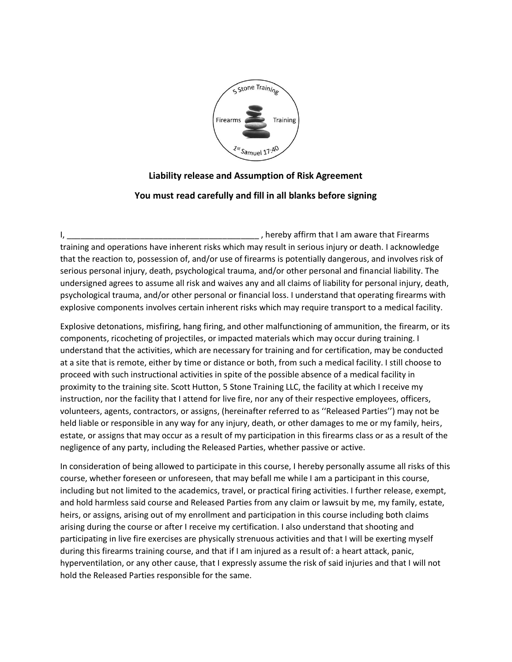

# **Liability release and Assumption of Risk Agreement**

## **You must read carefully and fill in all blanks before signing**

I, thereby affirm that I am aware that Firearms of the state of the state of the state of the state of the state of the state of the state of the state of the state of the state of the state of the state of the state of th training and operations have inherent risks which may result in serious injury or death. I acknowledge that the reaction to, possession of, and/or use of firearms is potentially dangerous, and involves risk of serious personal injury, death, psychological trauma, and/or other personal and financial liability. The undersigned agrees to assume all risk and waives any and all claims of liability for personal injury, death, psychological trauma, and/or other personal or financial loss. I understand that operating firearms with explosive components involves certain inherent risks which may require transport to a medical facility.

Explosive detonations, misfiring, hang firing, and other malfunctioning of ammunition, the firearm, or its components, ricocheting of projectiles, or impacted materials which may occur during training. I understand that the activities, which are necessary for training and for certification, may be conducted at a site that is remote, either by time or distance or both, from such a medical facility. I still choose to proceed with such instructional activities in spite of the possible absence of a medical facility in proximity to the training site. Scott Hutton, 5 Stone Training LLC, the facility at which I receive my instruction, nor the facility that I attend for live fire, nor any of their respective employees, officers, volunteers, agents, contractors, or assigns, (hereinafter referred to as ''Released Parties'') may not be held liable or responsible in any way for any injury, death, or other damages to me or my family, heirs, estate, or assigns that may occur as a result of my participation in this firearms class or as a result of the negligence of any party, including the Released Parties, whether passive or active.

In consideration of being allowed to participate in this course, I hereby personally assume all risks of this course, whether foreseen or unforeseen, that may befall me while I am a participant in this course, including but not limited to the academics, travel, or practical firing activities. I further release, exempt, and hold harmless said course and Released Parties from any claim or lawsuit by me, my family, estate, heirs, or assigns, arising out of my enrollment and participation in this course including both claims arising during the course or after I receive my certification. I also understand that shooting and participating in live fire exercises are physically strenuous activities and that I will be exerting myself during this firearms training course, and that if I am injured as a result of: a heart attack, panic, hyperventilation, or any other cause, that I expressly assume the risk of said injuries and that I will not hold the Released Parties responsible for the same.